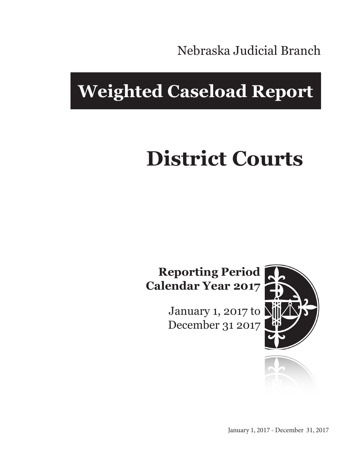Nebraska Judicial Branch

## **Weighted Caseload Report**

# **District Courts**

## **Reporting Period Calendar Year 2017**

January 1, 2017 to December 31 2017



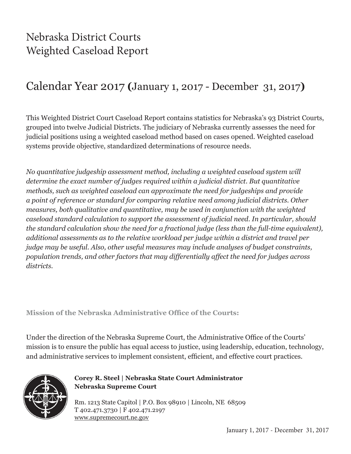## Nebraska District Courts Weighted Caseload Report

## Calendar Year 2017 **(**January 1, 2017 - December 31, 2017**)**

This Weighted District Court Caseload Report contains statistics for Nebraska's 93 District Courts, grouped into twelve Judicial Districts. The judiciary of Nebraska currently assesses the need for judicial positions using a weighted caseload method based on cases opened. Weighted caseload systems provide objective, standardized determinations of resource needs.

*No quantitative judgeship assessment method, including a weighted caseload system will determine the exact number of judges required within a judicial district. But quantitative methods, such as weighted caseload can approximate the need for judgeships and provide a point of reference or standard for comparing relative need among judicial districts. Other measures, both qualitative and quantitative, may be used in conjunction with the weighted caseload standard calculation to support the assessment of judicial need. In particular, should the standard calculation show the need for a fractional judge (less than the full-time equivalent), additional assessments as to the relative workload per judge within a district and travel per judge may be useful. Also, other useful measures may include analyses of budget constraints, population trends, and other factors that may differentially affect the need for judges across districts.*

**Mission of the Nebraska Administrative Office of the Courts:**

Under the direction of the Nebraska Supreme Court, the Administrative Office of the Courts' mission is to ensure the public has equal access to justice, using leadership, education, technology, and administrative services to implement consistent, efficient, and effective court practices.



#### **Corey R. Steel | Nebraska State Court Administrator Nebraska Supreme Court**

Rm. 1213 State Capitol | P.O. Box 98910 | Lincoln, NE 68509 T 402.471.3730 | F 402.471.2197 www.supremecourt.ne.gov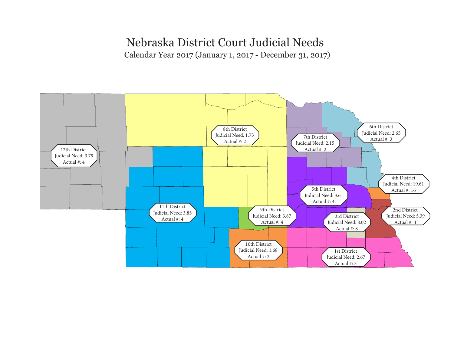#### Nebraska District Court Judicial Needs

Calendar Year 2017 (January 1, 2017 - December 31, 2017)

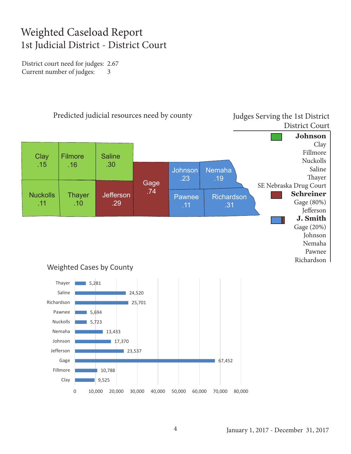## Weighted Caseload Report 1st Judicial District - District Court

District court need for judges: 2.67 Current number of judges: 3

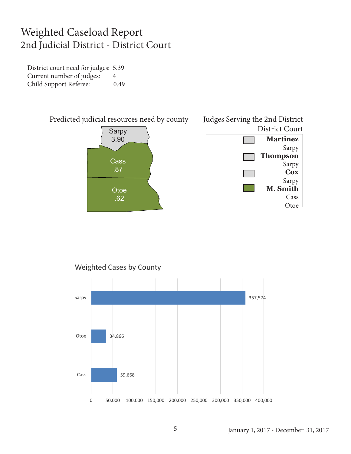#### Weighted Caseload Report 2nd Judicial District - District Court

District court need for judges: 5.39 Current number of judges: 4 Child Support Referee: 0.49





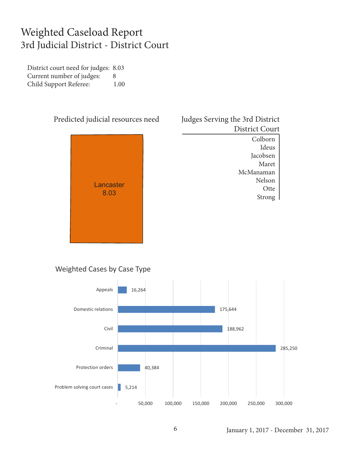## Weighted Caseload Report 3rd Judicial District - District Court

District court need for judges: 8.03 Current number of judges: 8 Child Support Referee: 1.00



#### Judges Serving the 3rd District District Court Colborn

Ideus Jacobsen Maret McManaman Nelson **Otte** Strong

#### Weighted Cases by Case Type

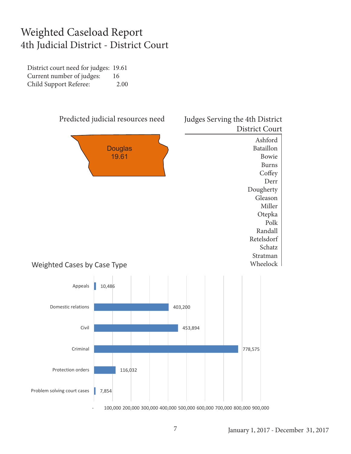## Weighted Caseload Report 4th Judicial District - District Court

District court need for judges: 19.61 Current number of judges: 16 Child Support Referee: 2.00

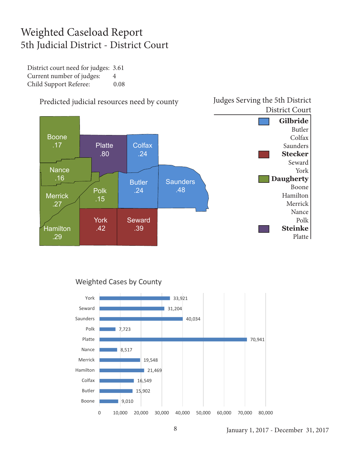## Weighted Caseload Report 5th Judicial District - District Court

District court need for judges: 3.61 Current number of judges: 4 Child Support Referee: 0.08



#### Predicted judicial resources need by county

#### Weighted Cases by County



Judges Serving the 5th District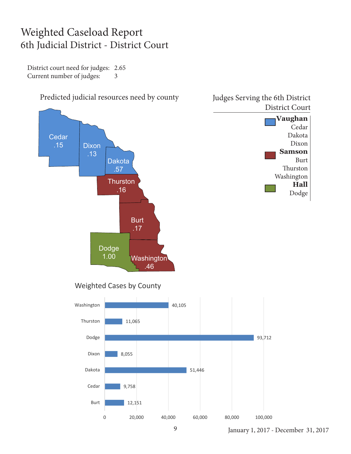## Weighted Caseload Report 6th Judicial District - District Court

District court need for judges: 2.65 Current number of judges: 3



January 1, 2017 - December 31, 2017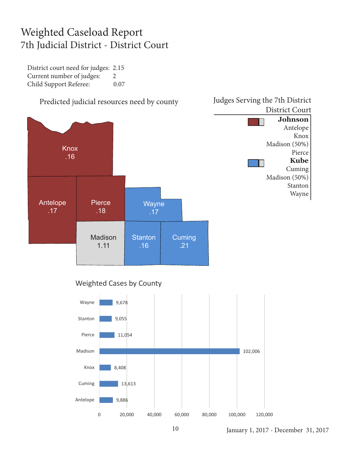## Weighted Caseload Report 7th Judicial District - District Court

District court need for judges: 2.15 Current number of judges: 2 Child Support Referee: 0.07



#### Weighted Cases by County

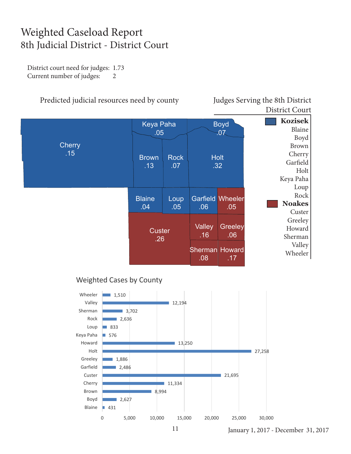## Weighted Caseload Report 8th Judicial District - District Court

District court need for judges: 1.73 Current number of judges: 2

#### Predicted judicial resources need by county Judges Serving the 8th District

District Court



#### Weighted Cases by County



January 1, 2017 - December 31, 2017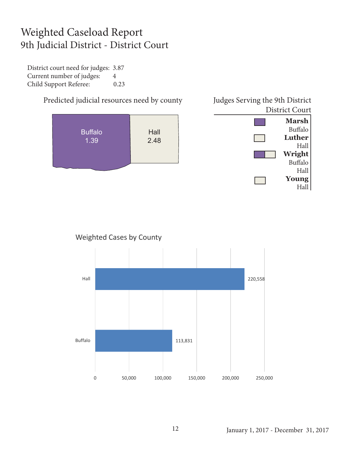## Weighted Caseload Report 9th Judicial District - District Court

District court need for judges: 3.87 Current number of judges: 4 Child Support Referee: 0.23





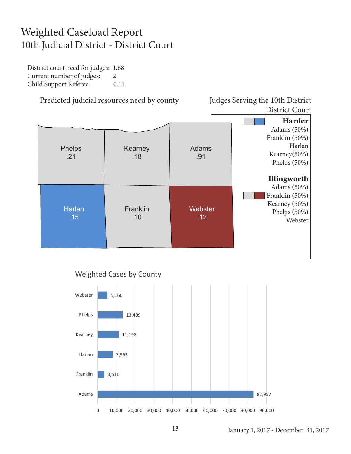## Weighted Caseload Report 10th Judicial District - District Court

District court need for judges: 1.68 Current number of judges: 2 Child Support Referee: 0.11

Predicted judicial resources need by county Judges Serving the 10th District

District Court





#### Weighted Cases by County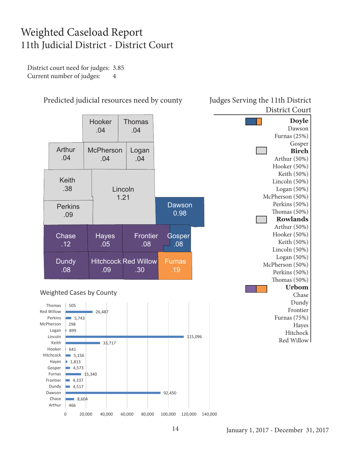## Weighted Caseload Report 11th Judicial District - District Court

District court need for judges: 3.85 Current number of judges: 4



#### Weighted Cases by County



#### Predicted judicial resources need by county Judges Serving the 11th District District Court